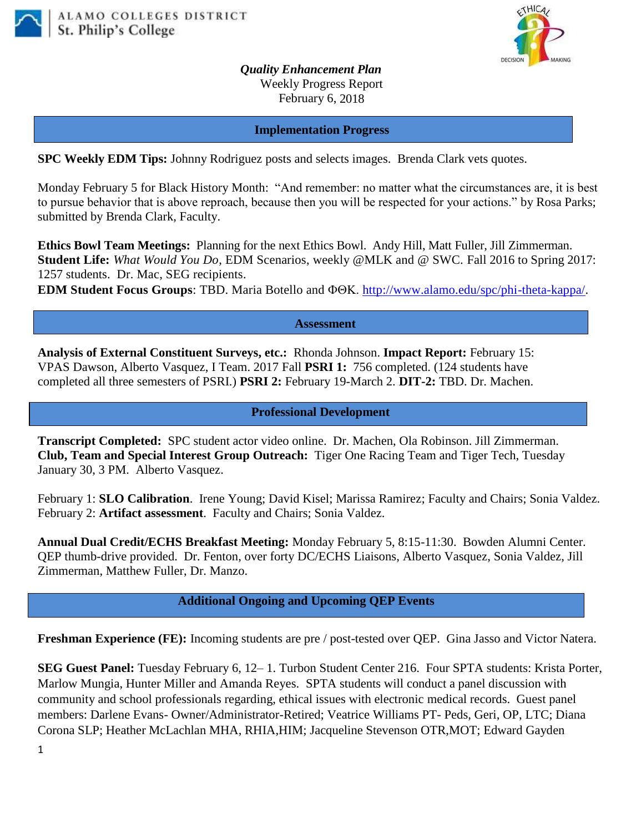



*Quality Enhancement Plan* Weekly Progress Report February 6, 2018

**Implementation Progress**

**SPC Weekly EDM Tips:** Johnny Rodriguez posts and selects images. Brenda Clark vets quotes.

Monday February 5 for Black History Month: "And remember: no matter what the circumstances are, it is best to pursue behavior that is above reproach, because then you will be respected for your actions." by Rosa Parks; submitted by Brenda Clark, Faculty.

**Ethics Bowl Team Meetings:** Planning for the next Ethics Bowl.Andy Hill, Matt Fuller, Jill Zimmerman. **Student Life:** *What Would You Do*, EDM Scenarios, weekly @MLK and @ SWC. Fall 2016 to Spring 2017: 1257 students. Dr. Mac, SEG recipients.

**EDM Student Focus Groups:** TBD. Maria Botello and  $\Phi$ OK. [http://www.alamo.edu/spc/phi-theta-kappa/.](http://www.alamo.edu/spc/phi-theta-kappa/)

**Assessment**

**Analysis of External Constituent Surveys, etc.:** Rhonda Johnson. **Impact Report:** February 15: VPAS Dawson, Alberto Vasquez, I Team. 2017 Fall **PSRI 1:** 756 completed. (124 students have completed all three semesters of PSRI.) **PSRI 2:** February 19-March 2. **DIT-2:** TBD. Dr. Machen.

## **Professional Development**

**Transcript Completed:** SPC student actor video online. Dr. Machen, Ola Robinson. Jill Zimmerman. **Club, Team and Special Interest Group Outreach:** Tiger One Racing Team and Tiger Tech, Tuesday January 30, 3 PM. Alberto Vasquez.

February 1: **SLO Calibration**. Irene Young; David Kisel; Marissa Ramirez; Faculty and Chairs; Sonia Valdez. February 2: **Artifact assessment**. Faculty and Chairs; Sonia Valdez.

**Annual Dual Credit/ECHS Breakfast Meeting:** Monday February 5, 8:15-11:30. Bowden Alumni Center. QEP thumb-drive provided. Dr. Fenton, over forty DC/ECHS Liaisons, Alberto Vasquez, Sonia Valdez, Jill Zimmerman, Matthew Fuller, Dr. Manzo.

**Additional Ongoing and Upcoming QEP Events**

**Freshman Experience (FE):** Incoming students are pre / post-tested over QEP. Gina Jasso and Victor Natera.

**SEG Guest Panel:** Tuesday February 6, 12– 1. Turbon Student Center 216. Four SPTA students: Krista Porter, Marlow Mungia, Hunter Miller and Amanda Reyes. SPTA students will conduct a panel discussion with community and school professionals regarding, ethical issues with electronic medical records. Guest panel members: Darlene Evans- Owner/Administrator-Retired; Veatrice Williams PT- Peds, Geri, OP, LTC; Diana Corona SLP; Heather McLachlan MHA, RHIA,HIM; Jacqueline Stevenson OTR,MOT; Edward Gayden